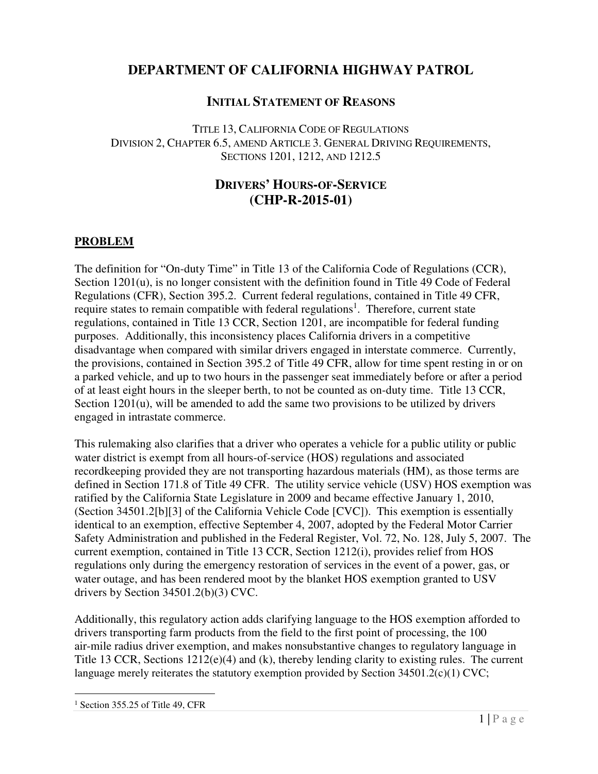# **DEPARTMENT OF CALIFORNIA HIGHWAY PATROL**

# **INITIAL STATEMENT OF REASONS**

 TITLE 13, CALIFORNIA CODE OF REGULATIONS DIVISION 2, CHAPTER 6.5, AMEND ARTICLE 3. GENERAL DRIVING REQUIREMENTS, SECTIONS 1201, 1212, AND 1212.5

## **DRIVERS' HOURS-OF-SERVICE (CHP-R-2015-01)**

### **PROBLEM**

 The definition for "On-duty Time" in Title 13 of the California Code of Regulations (CCR), Section 1201(u), is no longer consistent with the definition found in Title 49 Code of Federal Regulations (CFR), Section 395.2. Current federal regulations, contained in Title 49 CFR, require states to remain compatible with federal regulations<sup>1</sup>. Therefore, current state regulations, contained in Title 13 CCR, Section 1201, are incompatible for federal funding purposes. Additionally, this inconsistency places California drivers in a competitive disadvantage when compared with similar drivers engaged in interstate commerce. Currently, the provisions, contained in Section 395.2 of Title 49 CFR, allow for time spent resting in or on a parked vehicle, and up to two hours in the passenger seat immediately before or after a period of at least eight hours in the sleeper berth, to not be counted as on-duty time. Title 13 CCR, Section 1201(u), will be amended to add the same two provisions to be utilized by drivers engaged in intrastate commerce.

 This rulemaking also clarifies that a driver who operates a vehicle for a public utility or public water district is exempt from all hours-of-service (HOS) regulations and associated recordkeeping provided they are not transporting hazardous materials (HM), as those terms are defined in Section 171.8 of Title 49 CFR. The utility service vehicle (USV) HOS exemption was ratified by the California State Legislature in 2009 and became effective January 1, 2010, (Section 34501.2[b][3] of the California Vehicle Code [CVC]). This exemption is essentially identical to an exemption, effective September 4, 2007, adopted by the Federal Motor Carrier Safety Administration and published in the Federal Register, Vol. 72, No. 128, July 5, 2007. The current exemption, contained in Title 13 CCR, Section 1212(i), provides relief from HOS regulations only during the emergency restoration of services in the event of a power, gas, or water outage, and has been rendered moot by the blanket HOS exemption granted to USV drivers by Section 34501.2(b)(3) CVC.

 Additionally, this regulatory action adds clarifying language to the HOS exemption afforded to drivers transporting farm products from the field to the first point of processing, the 100 air-mile radius driver exemption, and makes nonsubstantive changes to regulatory language in Title 13 CCR, Sections 1212(e)(4) and (k), thereby lending clarity to existing rules. The current language merely reiterates the statutory exemption provided by Section 34501.2(c)(1) CVC;

 $<sup>1</sup>$  Section 355.25 of Title 49, CFR</sup>

-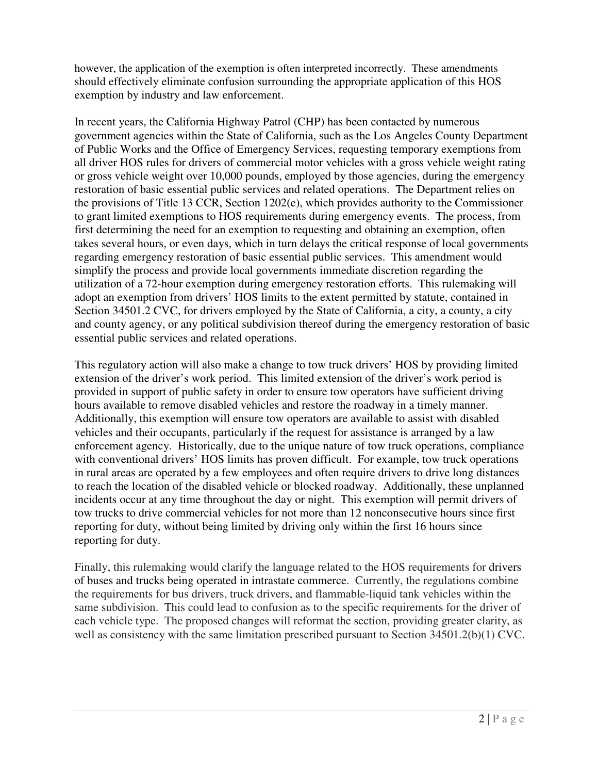however, the application of the exemption is often interpreted incorrectly. These amendments should effectively eliminate confusion surrounding the appropriate application of this HOS exemption by industry and law enforcement.

 In recent years, the California Highway Patrol (CHP) has been contacted by numerous government agencies within the State of California, such as the Los Angeles County Department of Public Works and the Office of Emergency Services, requesting temporary exemptions from all driver HOS rules for drivers of commercial motor vehicles with a gross vehicle weight rating or gross vehicle weight over 10,000 pounds, employed by those agencies, during the emergency restoration of basic essential public services and related operations. The Department relies on the provisions of Title 13 CCR, Section 1202(e), which provides authority to the Commissioner to grant limited exemptions to HOS requirements during emergency events. The process, from first determining the need for an exemption to requesting and obtaining an exemption, often takes several hours, or even days, which in turn delays the critical response of local governments regarding emergency restoration of basic essential public services. This amendment would simplify the process and provide local governments immediate discretion regarding the utilization of a 72-hour exemption during emergency restoration efforts. This rulemaking will adopt an exemption from drivers' HOS limits to the extent permitted by statute, contained in Section 34501.2 CVC, for drivers employed by the State of California, a city, a county, a city and county agency, or any political subdivision thereof during the emergency restoration of basic essential public services and related operations.

 This regulatory action will also make a change to tow truck drivers' HOS by providing limited extension of the driver's work period. This limited extension of the driver's work period is provided in support of public safety in order to ensure tow operators have sufficient driving hours available to remove disabled vehicles and restore the roadway in a timely manner. Additionally, this exemption will ensure tow operators are available to assist with disabled vehicles and their occupants, particularly if the request for assistance is arranged by a law enforcement agency. Historically, due to the unique nature of tow truck operations, compliance with conventional drivers' HOS limits has proven difficult. For example, tow truck operations in rural areas are operated by a few employees and often require drivers to drive long distances to reach the location of the disabled vehicle or blocked roadway. Additionally, these unplanned incidents occur at any time throughout the day or night. This exemption will permit drivers of tow trucks to drive commercial vehicles for not more than 12 nonconsecutive hours since first reporting for duty, without being limited by driving only within the first 16 hours since reporting for duty.

 Finally, this rulemaking would clarify the language related to the HOS requirements for drivers of buses and trucks being operated in intrastate commerce. Currently, the regulations combine the requirements for bus drivers, truck drivers, and flammable-liquid tank vehicles within the same subdivision. This could lead to confusion as to the specific requirements for the driver of each vehicle type. The proposed changes will reformat the section, providing greater clarity, as well as consistency with the same limitation prescribed pursuant to Section 34501.2(b)(1) CVC.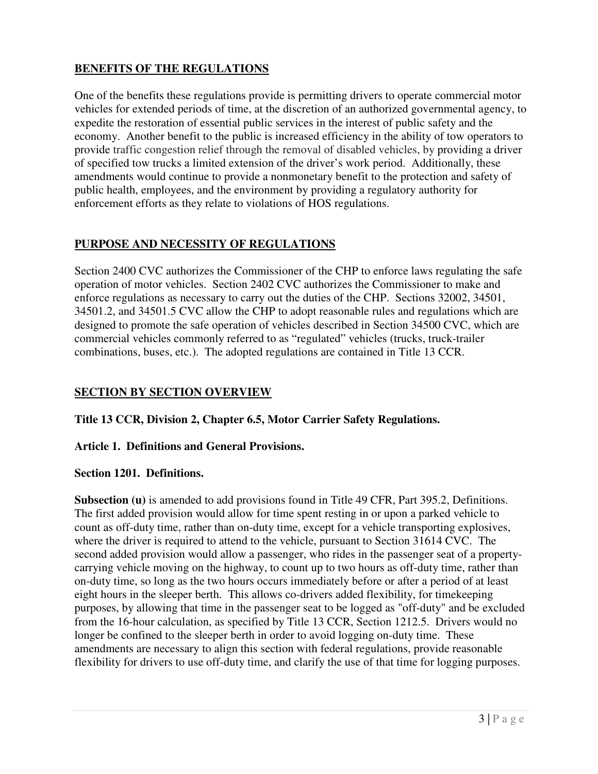## **BENEFITS OF THE REGULATIONS**

 One of the benefits these regulations provide is permitting drivers to operate commercial motor vehicles for extended periods of time, at the discretion of an authorized governmental agency, to expedite the restoration of essential public services in the interest of public safety and the economy. Another benefit to the public is increased efficiency in the ability of tow operators to provide traffic congestion relief through the removal of disabled vehicles, by providing a driver of specified tow trucks a limited extension of the driver's work period. Additionally, these amendments would continue to provide a nonmonetary benefit to the protection and safety of public health, employees, and the environment by providing a regulatory authority for enforcement efforts as they relate to violations of HOS regulations.

## **PURPOSE AND NECESSITY OF REGULATIONS**

 Section 2400 CVC authorizes the Commissioner of the CHP to enforce laws regulating the safe operation of motor vehicles. Section 2402 CVC authorizes the Commissioner to make and enforce regulations as necessary to carry out the duties of the CHP. Sections 32002, 34501, 34501.2, and 34501.5 CVC allow the CHP to adopt reasonable rules and regulations which are designed to promote the safe operation of vehicles described in Section 34500 CVC, which are commercial vehicles commonly referred to as "regulated" vehicles (trucks, truck-trailer combinations, buses, etc.). The adopted regulations are contained in Title 13 CCR.

## **SECTION BY SECTION OVERVIEW**

 **Title 13 CCR, Division 2, Chapter 6.5, Motor Carrier Safety Regulations.** 

## **Article 1. Definitions and General Provisions.**

### **Section 1201. Definitions.**

Subsection (u) is amended to add provisions found in Title 49 CFR, Part 395.2, Definitions. The first added provision would allow for time spent resting in or upon a parked vehicle to count as off-duty time, rather than on-duty time, except for a vehicle transporting explosives, where the driver is required to attend to the vehicle, pursuant to Section 31614 CVC. The second added provision would allow a passenger, who rides in the passenger seat of a property- carrying vehicle moving on the highway, to count up to two hours as off-duty time, rather than on-duty time, so long as the two hours occurs immediately before or after a period of at least eight hours in the sleeper berth. This allows co-drivers added flexibility, for timekeeping purposes, by allowing that time in the passenger seat to be logged as "off-duty" and be excluded from the 16-hour calculation, as specified by Title 13 CCR, Section 1212.5. Drivers would no longer be confined to the sleeper berth in order to avoid logging on-duty time. These amendments are necessary to align this section with federal regulations, provide reasonable flexibility for drivers to use off-duty time, and clarify the use of that time for logging purposes.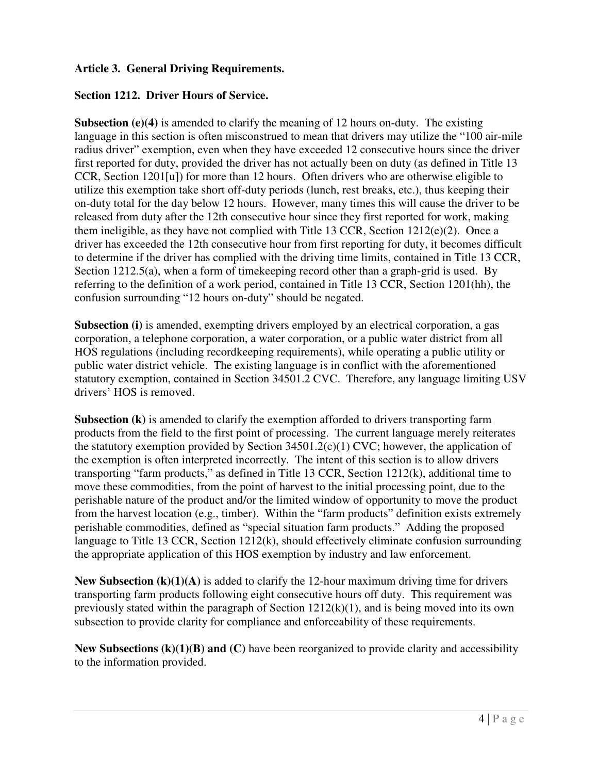### **Article 3. General Driving Requirements.**

### **Section 1212. Driver Hours of Service.**

Subsection (e)(4) is amended to clarify the meaning of 12 hours on-duty. The existing language in this section is often misconstrued to mean that drivers may utilize the "100 air-mile radius driver" exemption, even when they have exceeded 12 consecutive hours since the driver first reported for duty, provided the driver has not actually been on duty (as defined in Title 13 CCR, Section 1201[u]) for more than 12 hours. Often drivers who are otherwise eligible to utilize this exemption take short off-duty periods (lunch, rest breaks, etc.), thus keeping their on-duty total for the day below 12 hours. However, many times this will cause the driver to be released from duty after the 12th consecutive hour since they first reported for work, making them ineligible, as they have not complied with Title 13 CCR, Section 1212(e)(2). Once a driver has exceeded the 12th consecutive hour from first reporting for duty, it becomes difficult to determine if the driver has complied with the driving time limits, contained in Title 13 CCR, Section 1212.5(a), when a form of timekeeping record other than a graph-grid is used. By referring to the definition of a work period, contained in Title 13 CCR, Section 1201(hh), the confusion surrounding "12 hours on-duty" should be negated.

Subsection (i) is amended, exempting drivers employed by an electrical corporation, a gas corporation, a telephone corporation, a water corporation, or a public water district from all HOS regulations (including recordkeeping requirements), while operating a public utility or public water district vehicle. The existing language is in conflict with the aforementioned statutory exemption, contained in Section 34501.2 CVC. Therefore, any language limiting USV drivers' HOS is removed.

Subsection (k) is amended to clarify the exemption afforded to drivers transporting farm products from the field to the first point of processing. The current language merely reiterates the statutory exemption provided by Section  $34501.2(c)(1)$  CVC; however, the application of the exemption is often interpreted incorrectly. The intent of this section is to allow drivers transporting "farm products," as defined in Title 13 CCR, Section 1212(k), additional time to move these commodities, from the point of harvest to the initial processing point, due to the perishable nature of the product and/or the limited window of opportunity to move the product from the harvest location (e.g., timber). Within the "farm products" definition exists extremely perishable commodities, defined as "special situation farm products." Adding the proposed language to Title 13 CCR, Section 1212(k), should effectively eliminate confusion surrounding the appropriate application of this HOS exemption by industry and law enforcement.

 **New Subsection (k)(1)(A)** is added to clarify the 12-hour maximum driving time for drivers transporting farm products following eight consecutive hours off duty. This requirement was previously stated within the paragraph of Section 1212(k)(1), and is being moved into its own subsection to provide clarity for compliance and enforceability of these requirements.

 **New Subsections (k)(1)(B) and (C)** have been reorganized to provide clarity and accessibility to the information provided.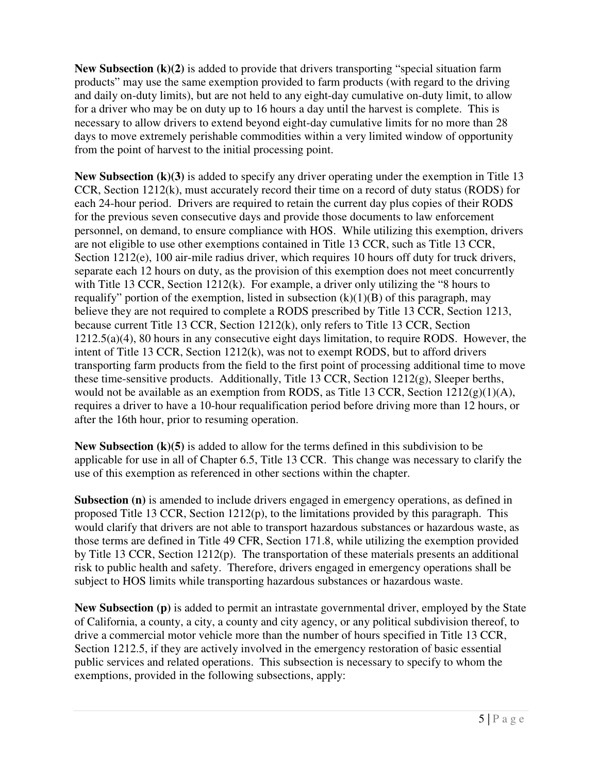**New Subsection (k)(2)** is added to provide that drivers transporting "special situation farm products" may use the same exemption provided to farm products (with regard to the driving and daily on-duty limits), but are not held to any eight-day cumulative on-duty limit, to allow for a driver who may be on duty up to 16 hours a day until the harvest is complete. This is necessary to allow drivers to extend beyond eight-day cumulative limits for no more than 28 days to move extremely perishable commodities within a very limited window of opportunity from the point of harvest to the initial processing point.

 **New Subsection (k)(3)** is added to specify any driver operating under the exemption in Title 13 CCR, Section 1212(k), must accurately record their time on a record of duty status (RODS) for each 24-hour period. Drivers are required to retain the current day plus copies of their RODS for the previous seven consecutive days and provide those documents to law enforcement personnel, on demand, to ensure compliance with HOS. While utilizing this exemption, drivers are not eligible to use other exemptions contained in Title 13 CCR, such as Title 13 CCR, Section 1212(e), 100 air-mile radius driver, which requires 10 hours off duty for truck drivers, separate each 12 hours on duty, as the provision of this exemption does not meet concurrently with Title 13 CCR, Section 1212(k). For example, a driver only utilizing the "8 hours to requalify" portion of the exemption, listed in subsection (k)(1)(B) of this paragraph, may believe they are not required to complete a RODS prescribed by Title 13 CCR, Section 1213, because current Title 13 CCR, Section 1212(k), only refers to Title 13 CCR, Section 1212.5(a)(4), 80 hours in any consecutive eight days limitation, to require RODS. However, the intent of Title 13 CCR, Section 1212(k), was not to exempt RODS, but to afford drivers transporting farm products from the field to the first point of processing additional time to move these time-sensitive products. Additionally, Title 13 CCR, Section 1212(g), Sleeper berths, would not be available as an exemption from RODS, as Title 13 CCR, Section  $1212(g)(1)(A)$ , requires a driver to have a 10-hour requalification period before driving more than 12 hours, or after the 16th hour, prior to resuming operation.

 **New Subsection (k)(5)** is added to allow for the terms defined in this subdivision to be applicable for use in all of Chapter 6.5, Title 13 CCR. This change was necessary to clarify the use of this exemption as referenced in other sections within the chapter.

Subsection (n) is amended to include drivers engaged in emergency operations, as defined in proposed Title 13 CCR, Section 1212(p), to the limitations provided by this paragraph. This would clarify that drivers are not able to transport hazardous substances or hazardous waste, as those terms are defined in Title 49 CFR, Section 171.8, while utilizing the exemption provided by Title 13 CCR, Section 1212(p). The transportation of these materials presents an additional risk to public health and safety. Therefore, drivers engaged in emergency operations shall be subject to HOS limits while transporting hazardous substances or hazardous waste.

 **New Subsection (p)** is added to permit an intrastate governmental driver, employed by the State of California, a county, a city, a county and city agency, or any political subdivision thereof, to drive a commercial motor vehicle more than the number of hours specified in Title 13 CCR, Section 1212.5, if they are actively involved in the emergency restoration of basic essential public services and related operations. This subsection is necessary to specify to whom the exemptions, provided in the following subsections, apply: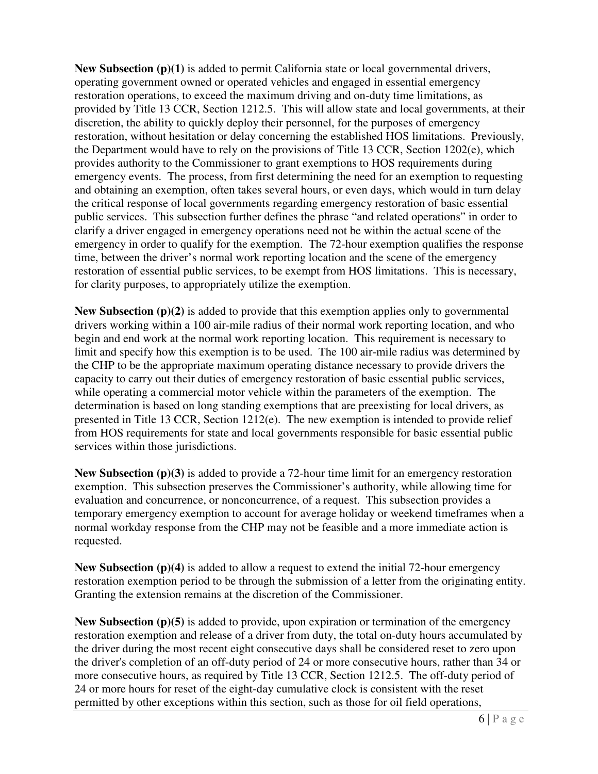**New Subsection (p)(1)** is added to permit California state or local governmental drivers, operating government owned or operated vehicles and engaged in essential emergency restoration operations, to exceed the maximum driving and on-duty time limitations, as provided by Title 13 CCR, Section 1212.5. This will allow state and local governments, at their discretion, the ability to quickly deploy their personnel, for the purposes of emergency restoration, without hesitation or delay concerning the established HOS limitations. Previously, the Department would have to rely on the provisions of Title 13 CCR, Section 1202(e), which provides authority to the Commissioner to grant exemptions to HOS requirements during emergency events. The process, from first determining the need for an exemption to requesting and obtaining an exemption, often takes several hours, or even days, which would in turn delay the critical response of local governments regarding emergency restoration of basic essential public services. This subsection further defines the phrase "and related operations" in order to clarify a driver engaged in emergency operations need not be within the actual scene of the emergency in order to qualify for the exemption. The 72-hour exemption qualifies the response time, between the driver's normal work reporting location and the scene of the emergency restoration of essential public services, to be exempt from HOS limitations. This is necessary, for clarity purposes, to appropriately utilize the exemption.

 **New Subsection (p)(2)** is added to provide that this exemption applies only to governmental drivers working within a 100 air-mile radius of their normal work reporting location, and who begin and end work at the normal work reporting location. This requirement is necessary to limit and specify how this exemption is to be used. The 100 air-mile radius was determined by the CHP to be the appropriate maximum operating distance necessary to provide drivers the capacity to carry out their duties of emergency restoration of basic essential public services, while operating a commercial motor vehicle within the parameters of the exemption. The determination is based on long standing exemptions that are preexisting for local drivers, as presented in Title 13 CCR, Section 1212(e). The new exemption is intended to provide relief from HOS requirements for state and local governments responsible for basic essential public services within those jurisdictions.

 **New Subsection (p)(3)** is added to provide a 72-hour time limit for an emergency restoration exemption. This subsection preserves the Commissioner's authority, while allowing time for evaluation and concurrence, or nonconcurrence, of a request. This subsection provides a temporary emergency exemption to account for average holiday or weekend timeframes when a normal workday response from the CHP may not be feasible and a more immediate action is requested.

 **New Subsection (p)(4)** is added to allow a request to extend the initial 72-hour emergency restoration exemption period to be through the submission of a letter from the originating entity. Granting the extension remains at the discretion of the Commissioner.

New Subsection (p)(5) is added to provide, upon expiration or termination of the emergency restoration exemption and release of a driver from duty, the total on-duty hours accumulated by the driver during the most recent eight consecutive days shall be considered reset to zero upon the driver's completion of an off-duty period of 24 or more consecutive hours, rather than 34 or more consecutive hours, as required by Title 13 CCR, Section 1212.5. The off-duty period of 24 or more hours for reset of the eight-day cumulative clock is consistent with the reset permitted by other exceptions within this section, such as those for oil field operations,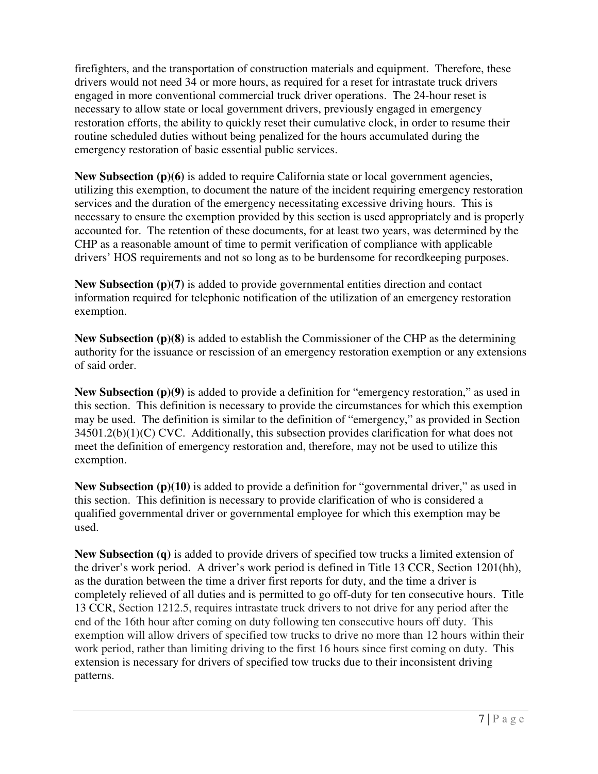firefighters, and the transportation of construction materials and equipment. Therefore, these drivers would not need 34 or more hours, as required for a reset for intrastate truck drivers engaged in more conventional commercial truck driver operations. The 24-hour reset is necessary to allow state or local government drivers, previously engaged in emergency restoration efforts, the ability to quickly reset their cumulative clock, in order to resume their routine scheduled duties without being penalized for the hours accumulated during the emergency restoration of basic essential public services.

New Subsection (p)(6) is added to require California state or local government agencies, utilizing this exemption, to document the nature of the incident requiring emergency restoration services and the duration of the emergency necessitating excessive driving hours. This is necessary to ensure the exemption provided by this section is used appropriately and is properly accounted for. The retention of these documents, for at least two years, was determined by the CHP as a reasonable amount of time to permit verification of compliance with applicable drivers' HOS requirements and not so long as to be burdensome for recordkeeping purposes.

 **New Subsection (p)(7)** is added to provide governmental entities direction and contact information required for telephonic notification of the utilization of an emergency restoration exemption.

 **New Subsection (p)(8)** is added to establish the Commissioner of the CHP as the determining authority for the issuance or rescission of an emergency restoration exemption or any extensions of said order.

 **New Subsection (p)(9)** is added to provide a definition for "emergency restoration," as used in this section. This definition is necessary to provide the circumstances for which this exemption may be used. The definition is similar to the definition of "emergency," as provided in Section  $34501.2(b)(1)(C)$  CVC. Additionally, this subsection provides clarification for what does not meet the definition of emergency restoration and, therefore, may not be used to utilize this exemption.

New Subsection (p)(10) is added to provide a definition for "governmental driver," as used in this section. This definition is necessary to provide clarification of who is considered a qualified governmental driver or governmental employee for which this exemption may be used.

 **New Subsection (q)** is added to provide drivers of specified tow trucks a limited extension of the driver's work period. A driver's work period is defined in Title 13 CCR, Section 1201(hh), as the duration between the time a driver first reports for duty, and the time a driver is completely relieved of all duties and is permitted to go off-duty for ten consecutive hours. Title 13 CCR, Section 1212.5, requires intrastate truck drivers to not drive for any period after the end of the 16th hour after coming on duty following ten consecutive hours off duty. This exemption will allow drivers of specified tow trucks to drive no more than 12 hours within their work period, rather than limiting driving to the first 16 hours since first coming on duty. This extension is necessary for drivers of specified tow trucks due to their inconsistent driving patterns.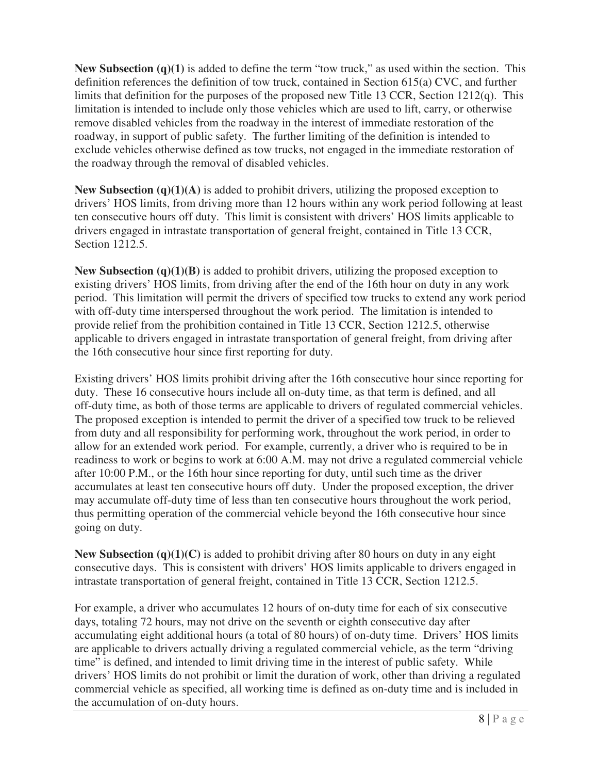**New Subsection** (q)(1) is added to define the term "tow truck," as used within the section. This definition references the definition of tow truck, contained in Section 615(a) CVC, and further limits that definition for the purposes of the proposed new Title 13 CCR, Section 1212(q). This limitation is intended to include only those vehicles which are used to lift, carry, or otherwise remove disabled vehicles from the roadway in the interest of immediate restoration of the roadway, in support of public safety. The further limiting of the definition is intended to exclude vehicles otherwise defined as tow trucks, not engaged in the immediate restoration of the roadway through the removal of disabled vehicles.

**New Subsection** (q)(1)(A) is added to prohibit drivers, utilizing the proposed exception to drivers' HOS limits, from driving more than 12 hours within any work period following at least ten consecutive hours off duty. This limit is consistent with drivers' HOS limits applicable to drivers engaged in intrastate transportation of general freight, contained in Title 13 CCR, Section 1212.5.

 **New Subsection (q)(1)(B)** is added to prohibit drivers, utilizing the proposed exception to existing drivers' HOS limits, from driving after the end of the 16th hour on duty in any work period. This limitation will permit the drivers of specified tow trucks to extend any work period with off-duty time interspersed throughout the work period. The limitation is intended to provide relief from the prohibition contained in Title 13 CCR, Section 1212.5, otherwise applicable to drivers engaged in intrastate transportation of general freight, from driving after the 16th consecutive hour since first reporting for duty.

 Existing drivers' HOS limits prohibit driving after the 16th consecutive hour since reporting for duty. These 16 consecutive hours include all on-duty time, as that term is defined, and all off-duty time, as both of those terms are applicable to drivers of regulated commercial vehicles. The proposed exception is intended to permit the driver of a specified tow truck to be relieved from duty and all responsibility for performing work, throughout the work period, in order to allow for an extended work period. For example, currently, a driver who is required to be in readiness to work or begins to work at 6:00 A.M. may not drive a regulated commercial vehicle after 10:00 P.M., or the 16th hour since reporting for duty, until such time as the driver accumulates at least ten consecutive hours off duty. Under the proposed exception, the driver may accumulate off-duty time of less than ten consecutive hours throughout the work period, thus permitting operation of the commercial vehicle beyond the 16th consecutive hour since going on duty.

 **New Subsection (q)(1)(C)** is added to prohibit driving after 80 hours on duty in any eight consecutive days. This is consistent with drivers' HOS limits applicable to drivers engaged in intrastate transportation of general freight, contained in Title 13 CCR, Section 1212.5.

 For example, a driver who accumulates 12 hours of on-duty time for each of six consecutive days, totaling 72 hours, may not drive on the seventh or eighth consecutive day after accumulating eight additional hours (a total of 80 hours) of on-duty time. Drivers' HOS limits are applicable to drivers actually driving a regulated commercial vehicle, as the term "driving time" is defined, and intended to limit driving time in the interest of public safety. While drivers' HOS limits do not prohibit or limit the duration of work, other than driving a regulated commercial vehicle as specified, all working time is defined as on-duty time and is included in the accumulation of on-duty hours.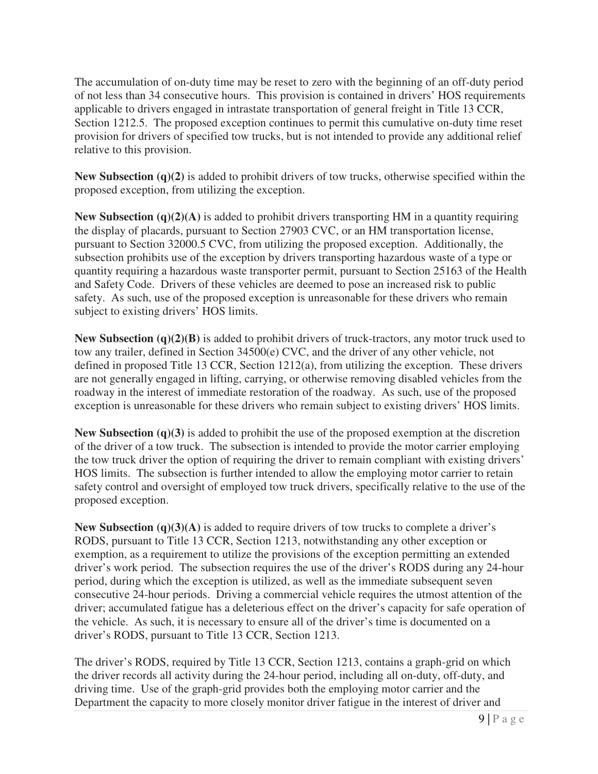The accumulation of on-duty time may be reset to zero with the beginning of an off-duty period of not less than 34 consecutive hours. This provision is contained in drivers' HOS requirements applicable to drivers engaged in intrastate transportation of general freight in Title 13 CCR, Section 1212.5. The proposed exception continues to permit this cumulative on-duty time reset provision for drivers of specified tow trucks, but is not intended to provide any additional relief relative to this provision.

 **New Subsection (q)(2)** is added to prohibit drivers of tow trucks, otherwise specified within the proposed exception, from utilizing the exception.

New Subsection (q)(2)(A) is added to prohibit drivers transporting HM in a quantity requiring the display of placards, pursuant to Section 27903 CVC, or an HM transportation license, pursuant to Section 32000.5 CVC, from utilizing the proposed exception. Additionally, the subsection prohibits use of the exception by drivers transporting hazardous waste of a type or quantity requiring a hazardous waste transporter permit, pursuant to Section 25163 of the Health and Safety Code. Drivers of these vehicles are deemed to pose an increased risk to public safety. As such, use of the proposed exception is unreasonable for these drivers who remain subject to existing drivers' HOS limits.

 **New Subsection (q)(2)(B)** is added to prohibit drivers of truck-tractors, any motor truck used to tow any trailer, defined in Section 34500(e) CVC, and the driver of any other vehicle, not defined in proposed Title 13 CCR, Section 1212(a), from utilizing the exception. These drivers are not generally engaged in lifting, carrying, or otherwise removing disabled vehicles from the roadway in the interest of immediate restoration of the roadway. As such, use of the proposed exception is unreasonable for these drivers who remain subject to existing drivers' HOS limits.

 **New Subsection (q)(3)** is added to prohibit the use of the proposed exemption at the discretion of the driver of a tow truck. The subsection is intended to provide the motor carrier employing the tow truck driver the option of requiring the driver to remain compliant with existing drivers' HOS limits. The subsection is further intended to allow the employing motor carrier to retain safety control and oversight of employed tow truck drivers, specifically relative to the use of the proposed exception.

 **New Subsection (q)(3)(A)** is added to require drivers of tow trucks to complete a driver's RODS, pursuant to Title 13 CCR, Section 1213, notwithstanding any other exception or exemption, as a requirement to utilize the provisions of the exception permitting an extended driver's work period. The subsection requires the use of the driver's RODS during any 24-hour period, during which the exception is utilized, as well as the immediate subsequent seven consecutive 24-hour periods. Driving a commercial vehicle requires the utmost attention of the driver; accumulated fatigue has a deleterious effect on the driver's capacity for safe operation of the vehicle. As such, it is necessary to ensure all of the driver's time is documented on a driver's RODS, pursuant to Title 13 CCR, Section 1213.

 The driver's RODS, required by Title 13 CCR, Section 1213, contains a graph-grid on which the driver records all activity during the 24-hour period, including all on-duty, off-duty, and driving time. Use of the graph-grid provides both the employing motor carrier and the Department the capacity to more closely monitor driver fatigue in the interest of driver and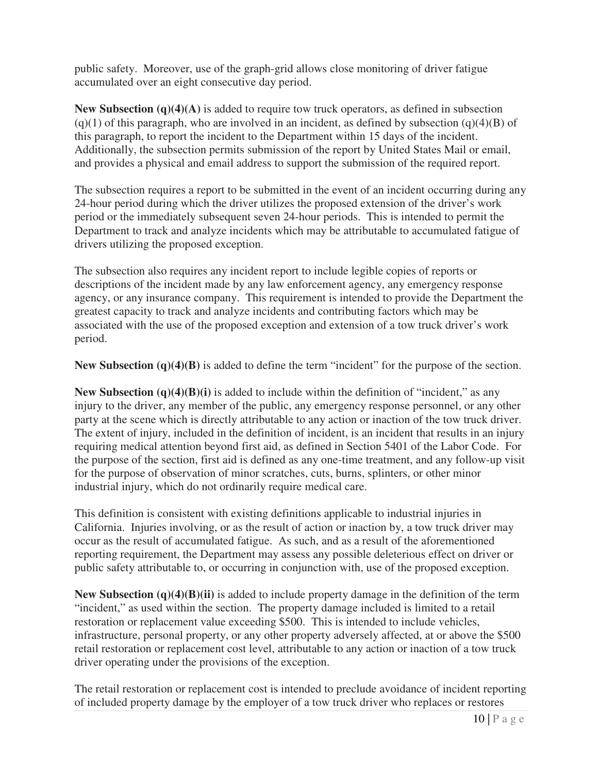public safety. Moreover, use of the graph-grid allows close monitoring of driver fatigue accumulated over an eight consecutive day period.

**New Subsection** (q)(4)(A) is added to require tow truck operators, as defined in subsection  $(q)(1)$  of this paragraph, who are involved in an incident, as defined by subsection  $(q)(4)(B)$  of this paragraph, to report the incident to the Department within 15 days of the incident. Additionally, the subsection permits submission of the report by United States Mail or email, and provides a physical and email address to support the submission of the required report.

 The subsection requires a report to be submitted in the event of an incident occurring during any 24-hour period during which the driver utilizes the proposed extension of the driver's work period or the immediately subsequent seven 24-hour periods. This is intended to permit the Department to track and analyze incidents which may be attributable to accumulated fatigue of drivers utilizing the proposed exception.

 The subsection also requires any incident report to include legible copies of reports or descriptions of the incident made by any law enforcement agency, any emergency response agency, or any insurance company. This requirement is intended to provide the Department the greatest capacity to track and analyze incidents and contributing factors which may be associated with the use of the proposed exception and extension of a tow truck driver's work period.

 **New Subsection (q)(4)(B)** is added to define the term "incident" for the purpose of the section.

**New Subsection (q)(4)(B)(i)** is added to include within the definition of "incident," as any injury to the driver, any member of the public, any emergency response personnel, or any other party at the scene which is directly attributable to any action or inaction of the tow truck driver. The extent of injury, included in the definition of incident, is an incident that results in an injury requiring medical attention beyond first aid, as defined in Section 5401 of the Labor Code. For the purpose of the section, first aid is defined as any one-time treatment, and any follow-up visit for the purpose of observation of minor scratches, cuts, burns, splinters, or other minor industrial injury, which do not ordinarily require medical care.

 This definition is consistent with existing definitions applicable to industrial injuries in California. Injuries involving, or as the result of action or inaction by, a tow truck driver may occur as the result of accumulated fatigue. As such, and as a result of the aforementioned reporting requirement, the Department may assess any possible deleterious effect on driver or public safety attributable to, or occurring in conjunction with, use of the proposed exception.

 **New Subsection (q)(4)(B)(ii)** is added to include property damage in the definition of the term "incident," as used within the section. The property damage included is limited to a retail restoration or replacement value exceeding \$500. This is intended to include vehicles, infrastructure, personal property, or any other property adversely affected, at or above the \$500 retail restoration or replacement cost level, attributable to any action or inaction of a tow truck driver operating under the provisions of the exception.

 The retail restoration or replacement cost is intended to preclude avoidance of incident reporting of included property damage by the employer of a tow truck driver who replaces or restores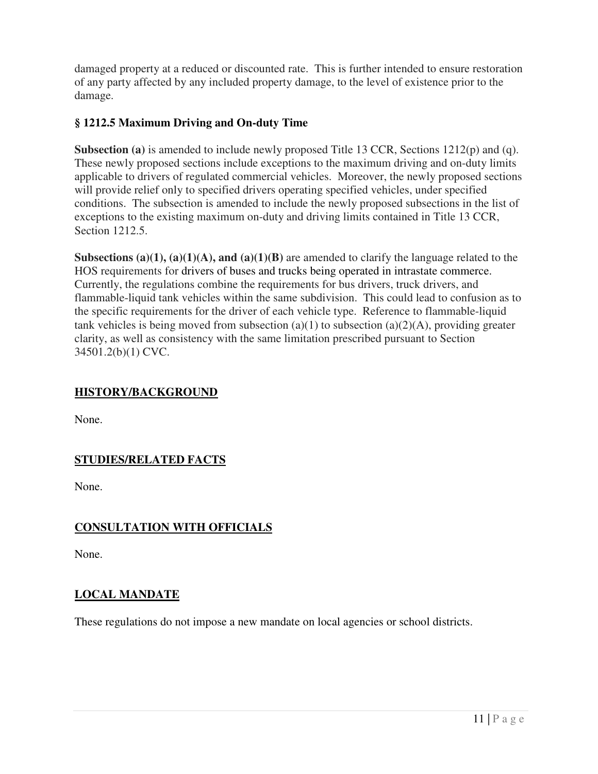damaged property at a reduced or discounted rate. This is further intended to ensure restoration of any party affected by any included property damage, to the level of existence prior to the damage.

## **§ 1212.5 Maximum Driving and On-duty Time**

Subsection (a) is amended to include newly proposed Title 13 CCR, Sections 1212(p) and (q). These newly proposed sections include exceptions to the maximum driving and on-duty limits applicable to drivers of regulated commercial vehicles. Moreover, the newly proposed sections will provide relief only to specified drivers operating specified vehicles, under specified conditions. The subsection is amended to include the newly proposed subsections in the list of exceptions to the existing maximum on-duty and driving limits contained in Title 13 CCR, Section 1212.5.

Subsections (a)(1), (a)(1)(A), and (a)(1)(B) are amended to clarify the language related to the HOS requirements for drivers of buses and trucks being operated in intrastate commerce. Currently, the regulations combine the requirements for bus drivers, truck drivers, and flammable-liquid tank vehicles within the same subdivision. This could lead to confusion as to the specific requirements for the driver of each vehicle type. Reference to flammable-liquid tank vehicles is being moved from subsection  $(a)(1)$  to subsection  $(a)(2)(A)$ , providing greater clarity, as well as consistency with the same limitation prescribed pursuant to Section 34501.2(b)(1) CVC.

### **HISTORY/BACKGROUND**

None.

# **STUDIES/RELATED FACTS**

None.

# **CONSULTATION WITH OFFICIALS**

None.

## **LOCAL MANDATE**

These regulations do not impose a new mandate on local agencies or school districts.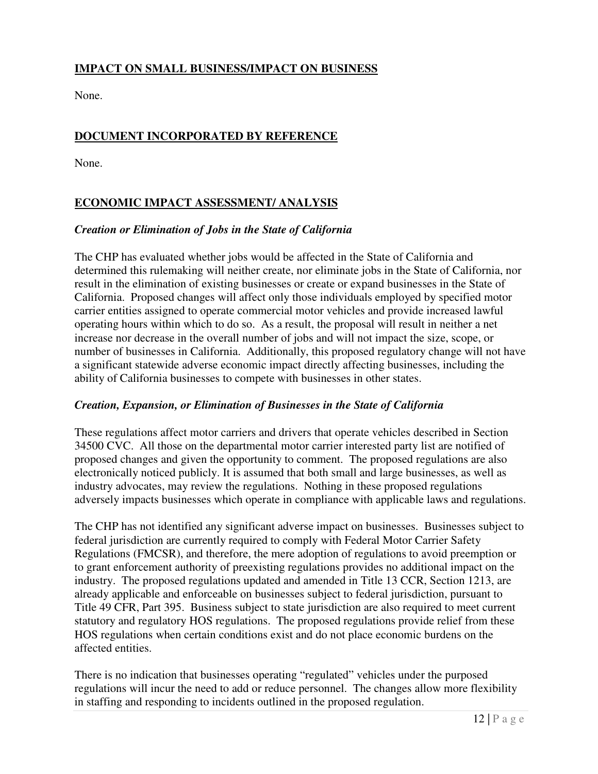## **IMPACT ON SMALL BUSINESS/IMPACT ON BUSINESS**

None.

### **DOCUMENT INCORPORATED BY REFERENCE**

None.

## **ECONOMIC IMPACT ASSESSMENT/ ANALYSIS**

#### *Creation or Elimination of Jobs in the State of California*

 The CHP has evaluated whether jobs would be affected in the State of California and determined this rulemaking will neither create, nor eliminate jobs in the State of California, nor result in the elimination of existing businesses or create or expand businesses in the State of California. Proposed changes will affect only those individuals employed by specified motor carrier entities assigned to operate commercial motor vehicles and provide increased lawful operating hours within which to do so. As a result, the proposal will result in neither a net increase nor decrease in the overall number of jobs and will not impact the size, scope, or number of businesses in California. Additionally, this proposed regulatory change will not have a significant statewide adverse economic impact directly affecting businesses, including the ability of California businesses to compete with businesses in other states.

### *Creation, Expansion, or Elimination of Businesses in the State of California*

 These regulations affect motor carriers and drivers that operate vehicles described in Section 34500 CVC. All those on the departmental motor carrier interested party list are notified of proposed changes and given the opportunity to comment. The proposed regulations are also electronically noticed publicly. It is assumed that both small and large businesses, as well as industry advocates, may review the regulations. Nothing in these proposed regulations adversely impacts businesses which operate in compliance with applicable laws and regulations.

 The CHP has not identified any significant adverse impact on businesses. Businesses subject to federal jurisdiction are currently required to comply with Federal Motor Carrier Safety Regulations (FMCSR), and therefore, the mere adoption of regulations to avoid preemption or to grant enforcement authority of preexisting regulations provides no additional impact on the industry. The proposed regulations updated and amended in Title 13 CCR, Section 1213, are already applicable and enforceable on businesses subject to federal jurisdiction, pursuant to Title 49 CFR, Part 395. Business subject to state jurisdiction are also required to meet current statutory and regulatory HOS regulations. The proposed regulations provide relief from these HOS regulations when certain conditions exist and do not place economic burdens on the affected entities.

 There is no indication that businesses operating "regulated" vehicles under the purposed regulations will incur the need to add or reduce personnel. The changes allow more flexibility in staffing and responding to incidents outlined in the proposed regulation.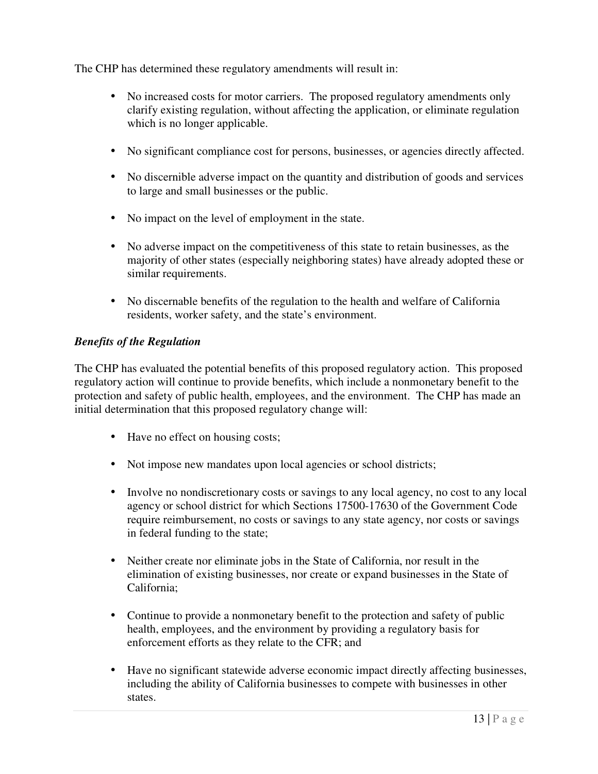The CHP has determined these regulatory amendments will result in:

- • No increased costs for motor carriers. The proposed regulatory amendments only clarify existing regulation, without affecting the application, or eliminate regulation which is no longer applicable.
- No significant compliance cost for persons, businesses, or agencies directly affected.
- • No discernible adverse impact on the quantity and distribution of goods and services to large and small businesses or the public.
- No impact on the level of employment in the state.
- • No adverse impact on the competitiveness of this state to retain businesses, as the majority of other states (especially neighboring states) have already adopted these or similar requirements.
- • No discernable benefits of the regulation to the health and welfare of California residents, worker safety, and the state's environment.

### *Benefits of the Regulation*

 The CHP has evaluated the potential benefits of this proposed regulatory action. This proposed regulatory action will continue to provide benefits, which include a nonmonetary benefit to the protection and safety of public health, employees, and the environment. The CHP has made an initial determination that this proposed regulatory change will:

- Have no effect on housing costs;
- Not impose new mandates upon local agencies or school districts;
- • Involve no nondiscretionary costs or savings to any local agency, no cost to any local agency or school district for which Sections 17500-17630 of the Government Code require reimbursement, no costs or savings to any state agency, nor costs or savings in federal funding to the state;
- • Neither create nor eliminate jobs in the State of California, nor result in the elimination of existing businesses, nor create or expand businesses in the State of California;
- • Continue to provide a nonmonetary benefit to the protection and safety of public health, employees, and the environment by providing a regulatory basis for enforcement efforts as they relate to the CFR; and
- • Have no significant statewide adverse economic impact directly affecting businesses, including the ability of California businesses to compete with businesses in other states.